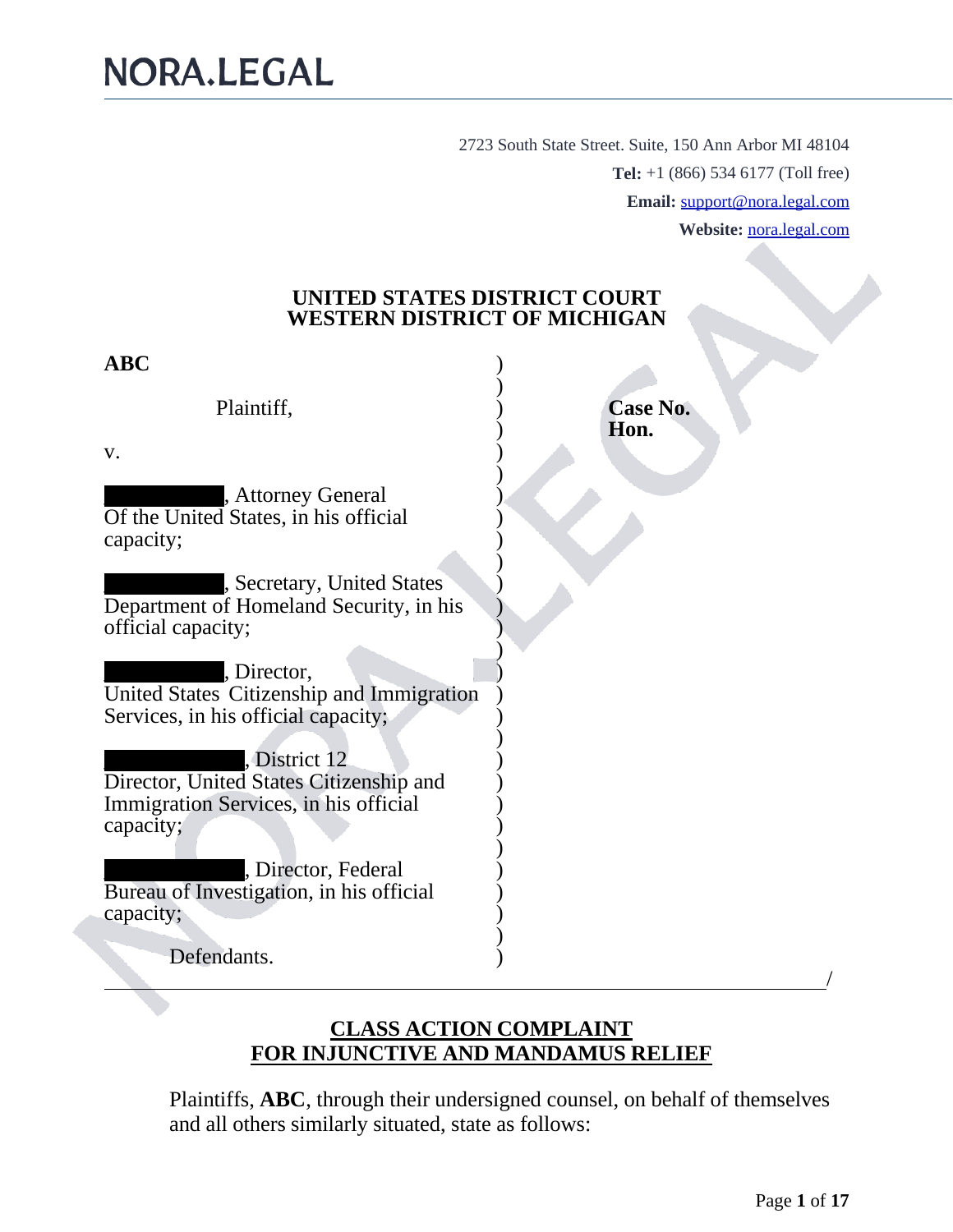2723 South State Street. Suite, 150 Ann Arbor MI 48104 **Tel:** +1 (866) 534 6177 (Toll free) **Email:** [support@nora.legal.com](mailto:support@nora.legal.com) **Website:** [nora.legal.com](https://lawstore.legaleasesolutions.com/)

#### **UNITED STATES DISTRICT COURT WESTERN DISTRICT OF MICHIGAN**

| <b>ABC</b>                                                                                                   |                         |
|--------------------------------------------------------------------------------------------------------------|-------------------------|
| Plaintiff,                                                                                                   | <b>Case No.</b><br>Hon. |
| V.                                                                                                           |                         |
| , Attorney General<br>Of the United States, in his official<br>capacity;                                     |                         |
| , Secretary, United States<br>Department of Homeland Security, in his<br>official capacity;                  |                         |
| , Director,<br>United States Citizenship and Immigration<br>Services, in his official capacity;              |                         |
| District 12<br>Director, United States Citizenship and<br>Immigration Services, in his official<br>capacity; |                         |
| , Director, Federal<br>Bureau of Investigation, in his official<br>capacity;                                 |                         |
| Defendants.                                                                                                  |                         |

#### **CLASS ACTION COMPLAINT FOR INJUNCTIVE AND MANDAMUS RELIEF**

Plaintiffs, **ABC**, through their undersigned counsel, on behalf of themselves and all others similarly situated, state as follows: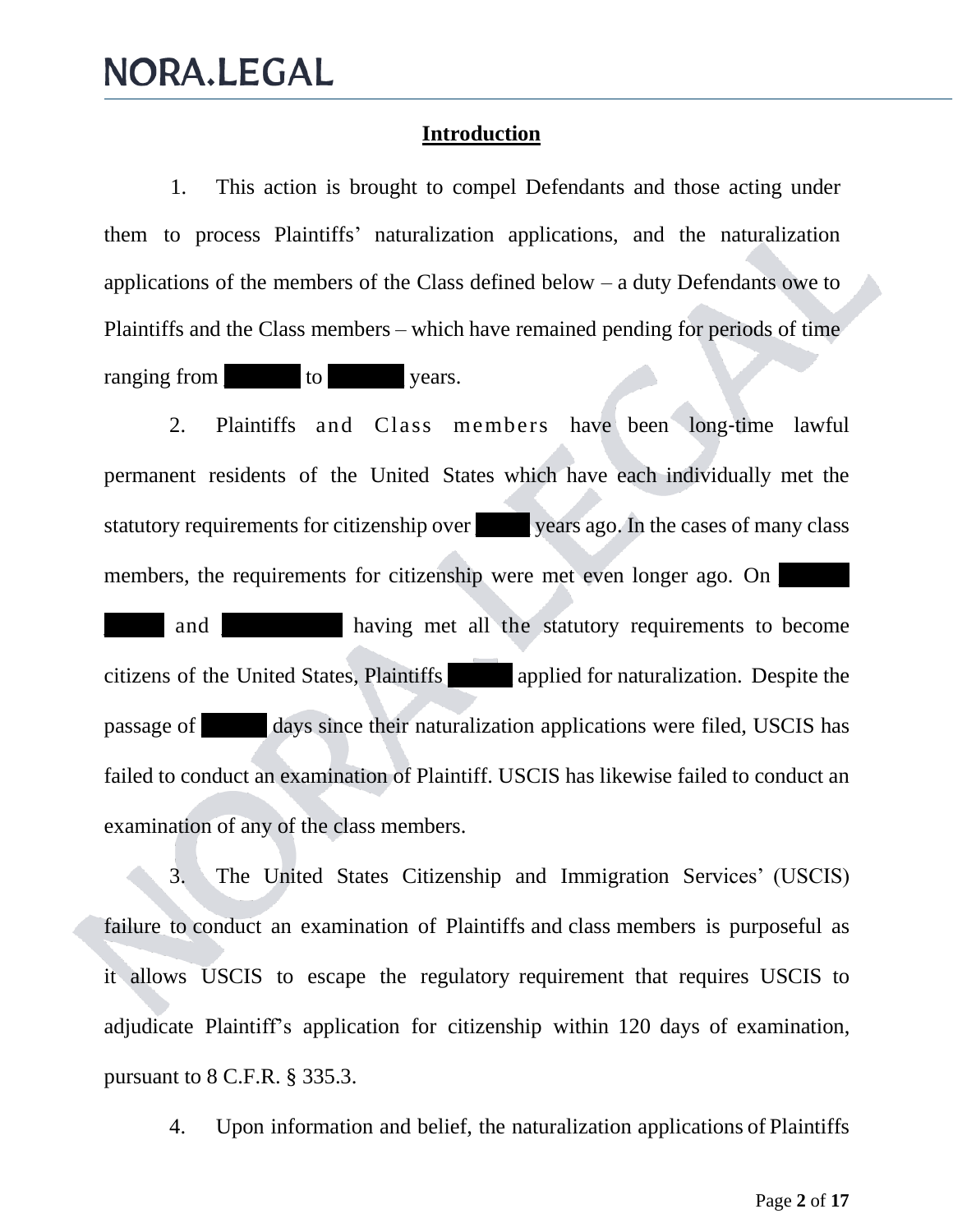#### **Introduction**

1. This action is brought to compel Defendants and those acting under them to process Plaintiffs' naturalization applications, and the naturalization applications of the members of the Class defined below – a duty Defendants owe to Plaintiffs and the Class members – which have remained pending for periods of time ranging from to to years.

2. Plaintiffs and Class members have been long‐time lawful permanent residents of the United States which have each individually met the statutory requirements for citizenship over years ago. In the cases of many class members, the requirements for citizenship were met even longer ago. On and **having met all the statutory requirements to become** citizens of the United States, Plaintiffs \_\_\_\_\_\_ applied for naturalization. Despite the passage of \_\_\_\_\_\_ days since their naturalization applications were filed, USCIS has failed to conduct an examination of Plaintiff. USCIS has likewise failed to conduct an examination of any of the class members.

3. The United States Citizenship and Immigration Services' (USCIS) failure to conduct an examination of Plaintiffs and class members is purposeful as it allows USCIS to escape the regulatory requirement that requires USCIS to adjudicate Plaintiff's application for citizenship within 120 days of examination, pursuant to 8 C.F.R. § 335.3.

4. Upon information and belief, the naturalization applications of Plaintiffs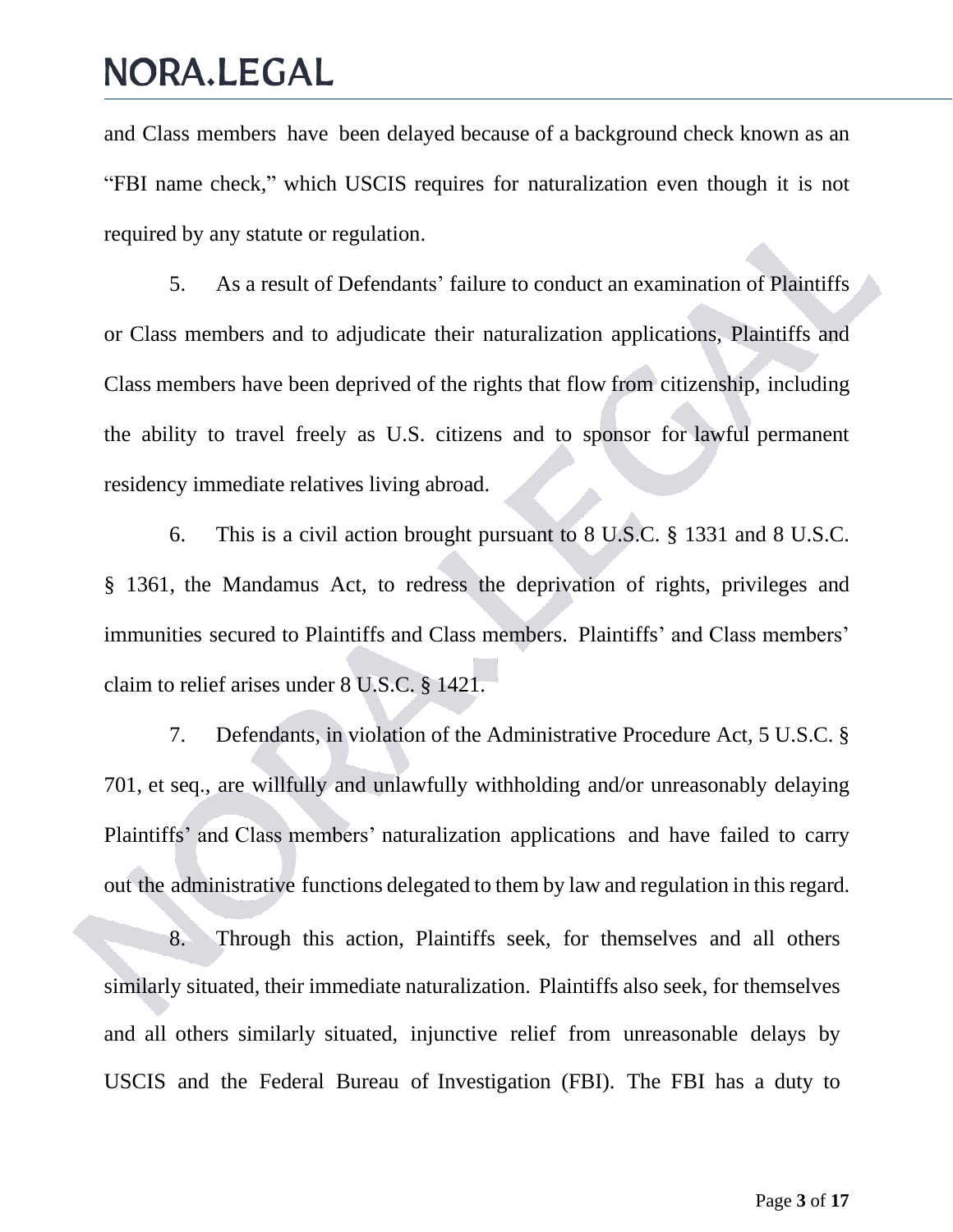and Class members have been delayed because of a background check known as an "FBI name check," which USCIS requires for naturalization even though it is not required by any statute or regulation.

5. As a result of Defendants' failure to conduct an examination of Plaintiffs or Class members and to adjudicate their naturalization applications, Plaintiffs and Class members have been deprived of the rights that flow from citizenship, including the ability to travel freely as U.S. citizens and to sponsor for lawful permanent residency immediate relatives living abroad.

6. This is a civil action brought pursuant to 8 U.S.C. § 1331 and 8 U.S.C. § 1361, the Mandamus Act, to redress the deprivation of rights, privileges and immunities secured to Plaintiffs and Class members. Plaintiffs' and Class members' claim to relief arises under 8 U.S.C. § 1421.

7. Defendants, in violation of the Administrative Procedure Act, 5 U.S.C. § 701, et seq., are willfully and unlawfully withholding and/or unreasonably delaying Plaintiffs' and Class members' naturalization applications and have failed to carry out the administrative functions delegated to them by law and regulation in this regard.

8. Through this action, Plaintiffs seek, for themselves and all others similarly situated, their immediate naturalization. Plaintiffs also seek, for themselves and all others similarly situated, injunctive relief from unreasonable delays by USCIS and the Federal Bureau of Investigation (FBI). The FBI has a duty to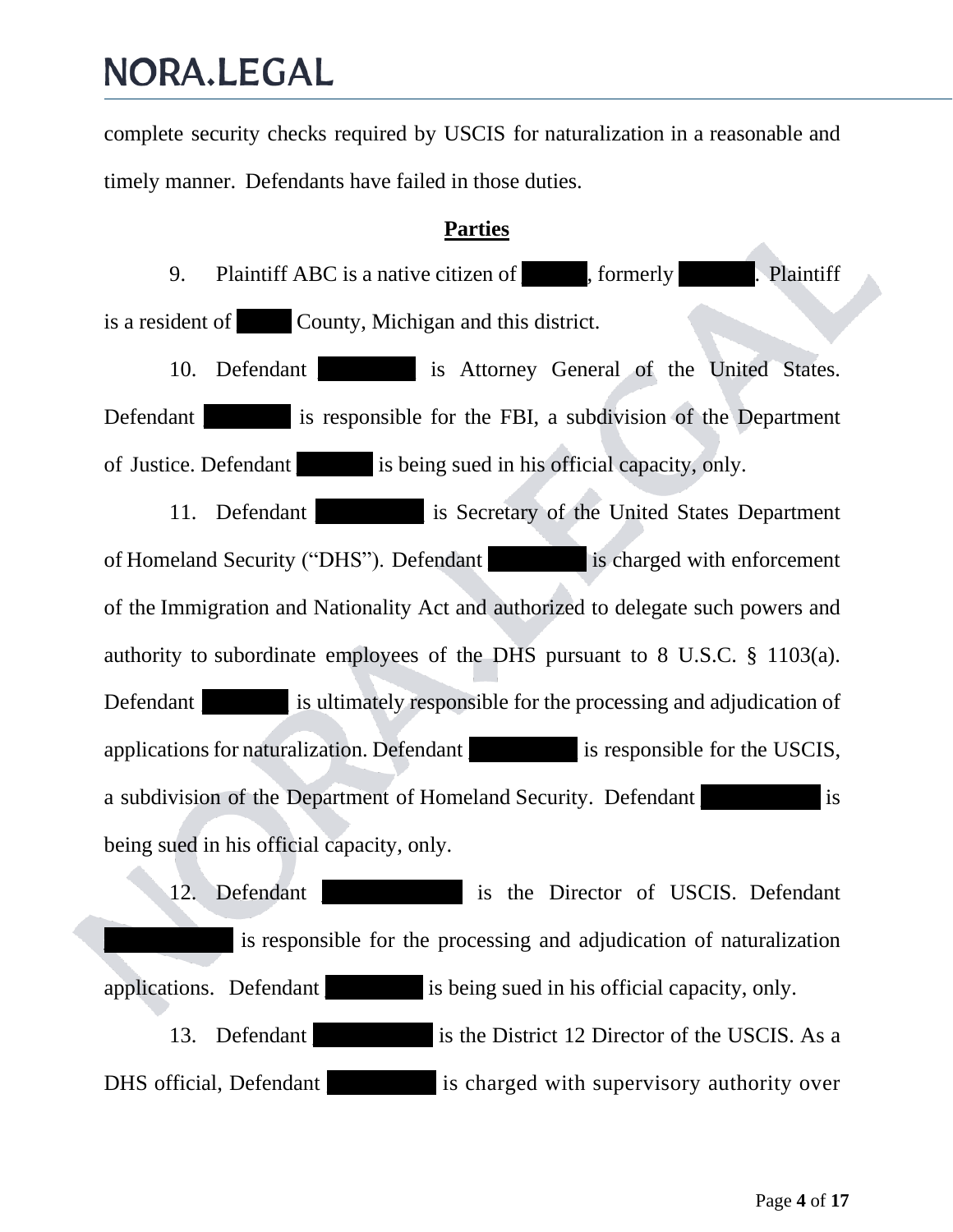complete security checks required by USCIS for naturalization in a reasonable and timely manner. Defendants have failed in those duties.

#### **Parties**

9. Plaintiff ABC is a native citizen of formerly Plaintiff is a resident of **County**, Michigan and this district.

10. Defendant **and is Attorney General of the United States.** Defendant is responsible for the FBI, a subdivision of the Department of Justice. Defendant is being sued in his official capacity, only.

11. Defendant is Secretary of the United States Department of Homeland Security ("DHS"). Defendant is charged with enforcement of the Immigration and Nationality Act and authorized to delegate such powers and authority to subordinate employees of the DHS pursuant to 8 U.S.C. § 1103(a). Defendant is ultimately responsible for the processing and adjudication of applications for naturalization. Defendant is responsible for the USCIS, a subdivision of the Department of Homeland Security. Defendant is being sued in his official capacity, only.

12. Defendant is the Director of USCIS. Defendant is responsible for the processing and adjudication of naturalization applications. Defendant is being sued in his official capacity, only. 13. Defendant is the District 12 Director of the USCIS. As a DHS official, Defendant is charged with supervisory authority over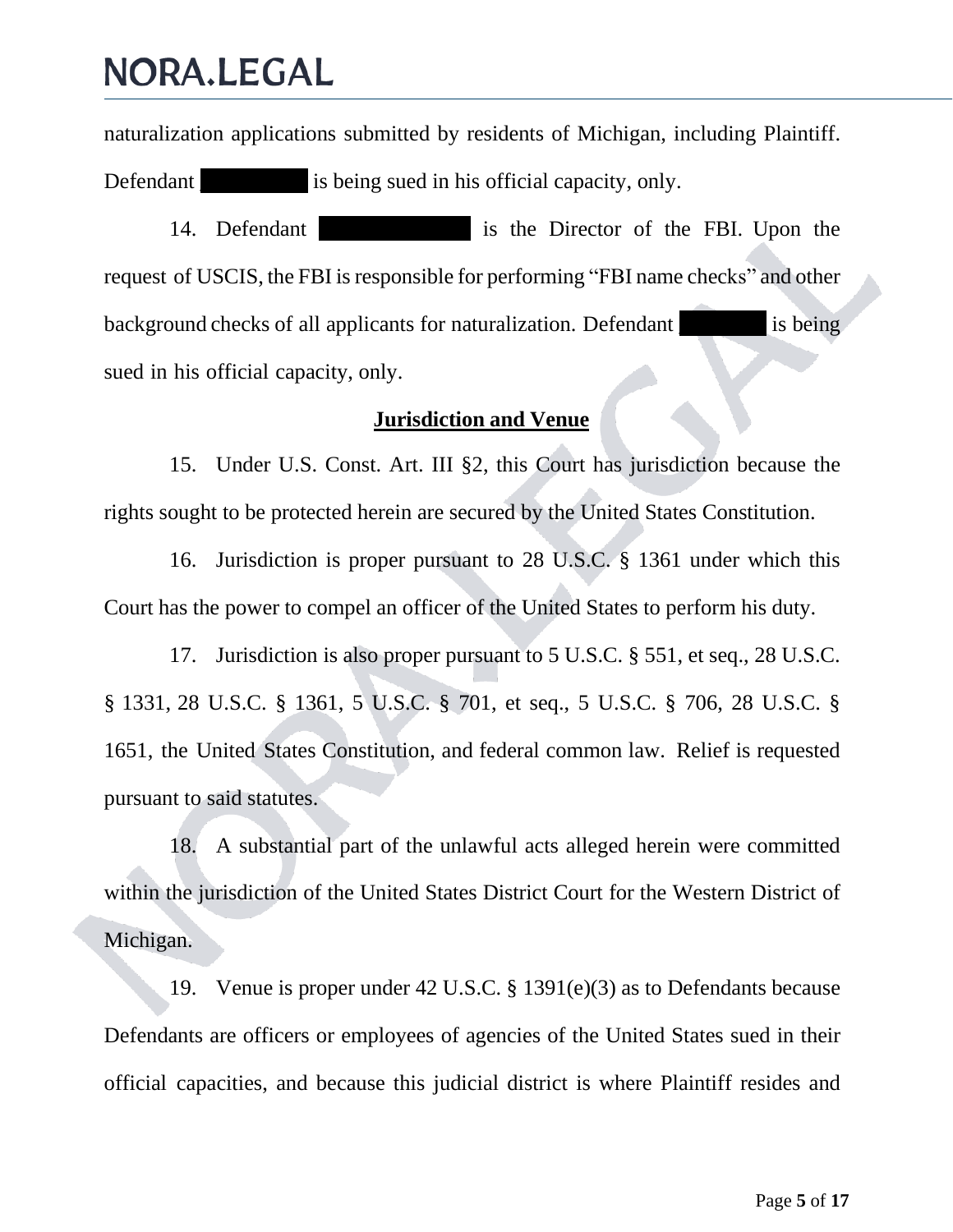naturalization applications submitted by residents of Michigan, including Plaintiff. Defendant is being sued in his official capacity, only.

14. Defendant is the Director of the FBI. Upon the request of USCIS, the FBI is responsible for performing "FBI name checks" and other background checks of all applicants for naturalization. Defendant is being sued in his official capacity, only.

#### **Jurisdiction and Venue**

15. Under U.S. Const. Art. III §2, this Court has jurisdiction because the rights sought to be protected herein are secured by the United States Constitution.

16. Jurisdiction is proper pursuant to 28 U.S.C. § 1361 under which this Court has the power to compel an officer of the United States to perform his duty.

17. Jurisdiction is also proper pursuant to 5 U.S.C. § 551, et seq., 28 U.S.C. § 1331, 28 U.S.C. § 1361, 5 U.S.C. § 701, et seq., 5 U.S.C. § 706, 28 U.S.C. § 1651, the United States Constitution, and federal common law. Relief is requested pursuant to said statutes.

18. A substantial part of the unlawful acts alleged herein were committed within the jurisdiction of the United States District Court for the Western District of Michigan.

19. Venue is proper under 42 U.S.C. § 1391(e)(3) as to Defendants because Defendants are officers or employees of agencies of the United States sued in their official capacities, and because this judicial district is where Plaintiff resides and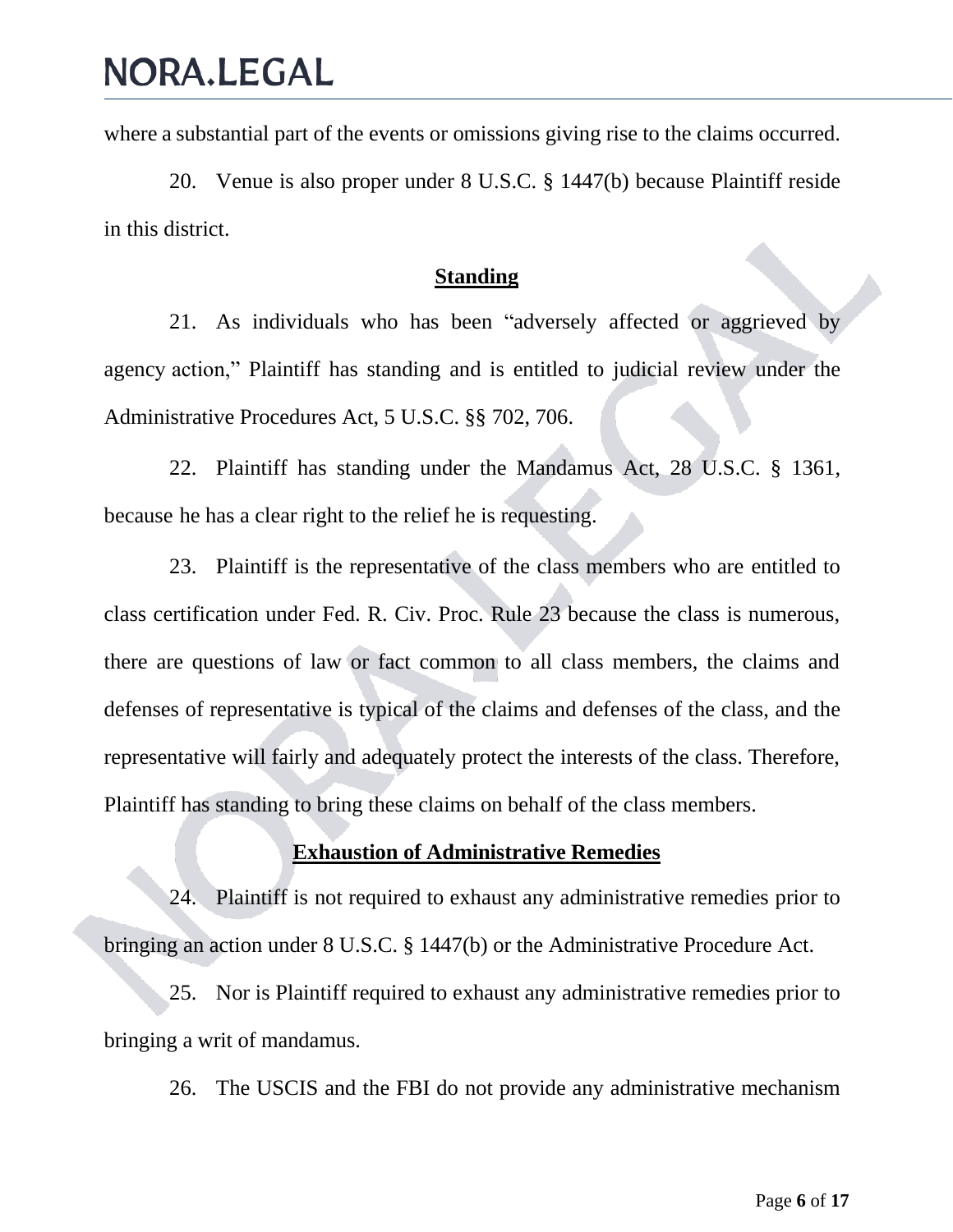where a substantial part of the events or omissions giving rise to the claims occurred.

20. Venue is also proper under 8 U.S.C. § 1447(b) because Plaintiff reside in this district.

#### **Standing**

21. As individuals who has been "adversely affected or aggrieved by agency action," Plaintiff has standing and is entitled to judicial review under the Administrative Procedures Act, 5 U.S.C. §§ 702, 706.

22. Plaintiff has standing under the Mandamus Act, 28 U.S.C. § 1361, because he has a clear right to the relief he is requesting.

23. Plaintiff is the representative of the class members who are entitled to class certification under Fed. R. Civ. Proc. Rule 23 because the class is numerous, there are questions of law or fact common to all class members, the claims and defenses of representative is typical of the claims and defenses of the class, and the representative will fairly and adequately protect the interests of the class. Therefore, Plaintiff has standing to bring these claims on behalf of the class members.

#### **Exhaustion of Administrative Remedies**

24. Plaintiff is not required to exhaust any administrative remedies prior to bringing an action under 8 U.S.C. § 1447(b) or the Administrative Procedure Act.

25. Nor is Plaintiff required to exhaust any administrative remedies prior to bringing a writ of mandamus.

26. The USCIS and the FBI do not provide any administrative mechanism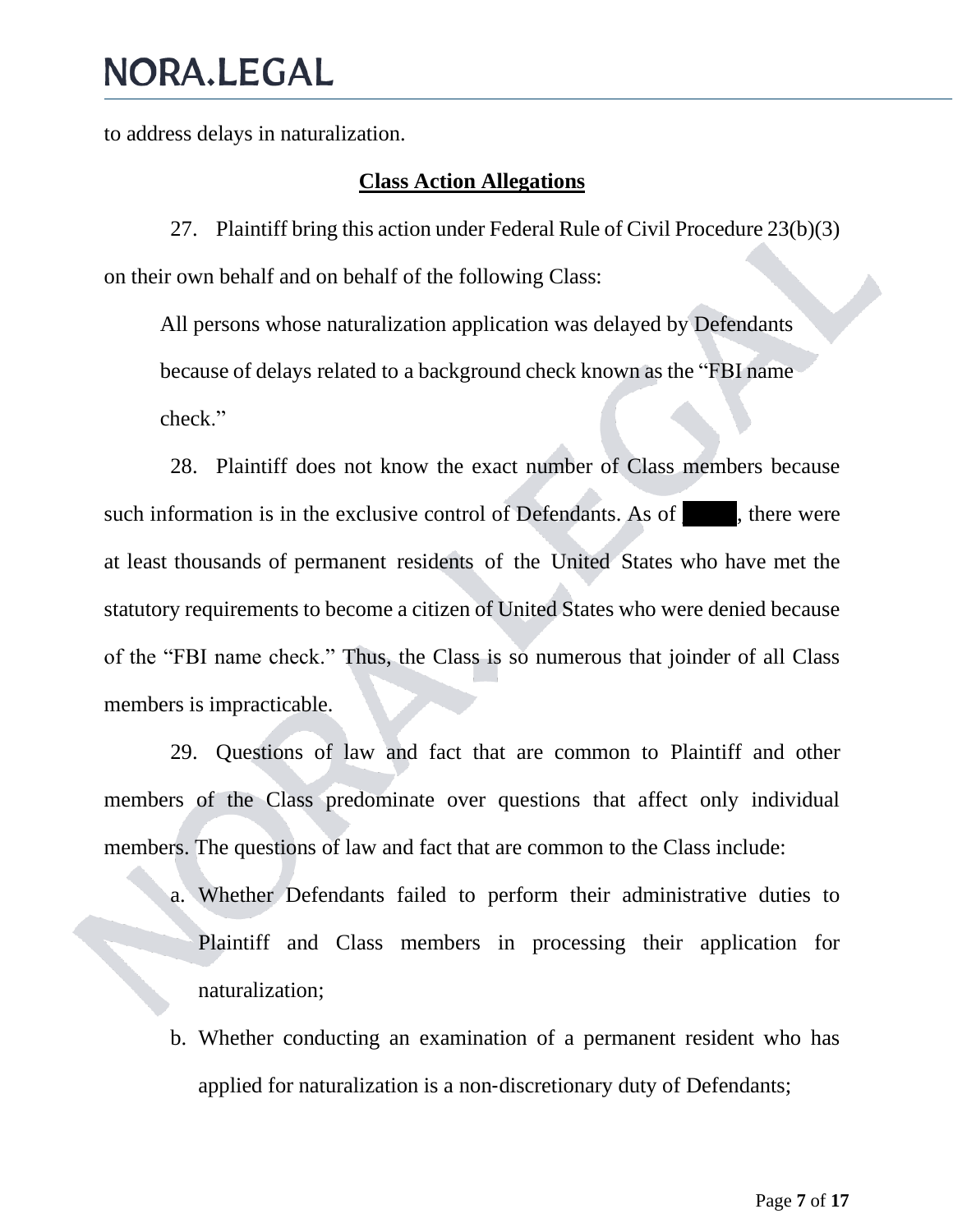to address delays in naturalization.

#### **Class Action Allegations**

27. Plaintiff bring this action under Federal Rule of Civil Procedure 23(b)(3) on their own behalf and on behalf of the following Class:

All persons whose naturalization application was delayed by Defendants because of delays related to a background check known as the "FBI name check."

28. Plaintiff does not know the exact number of Class members because such information is in the exclusive control of Defendants. As of the extreme were at least thousands of permanent residents of the United States who have met the statutory requirements to become a citizen of United States who were denied because of the "FBI name check." Thus, the Class is so numerous that joinder of all Class members is impracticable.

29. Questions of law and fact that are common to Plaintiff and other members of the Class predominate over questions that affect only individual members. The questions of law and fact that are common to the Class include:

- a. Whether Defendants failed to perform their administrative duties to Plaintiff and Class members in processing their application for naturalization;
- b. Whether conducting an examination of a permanent resident who has applied for naturalization is a non‐discretionary duty of Defendants;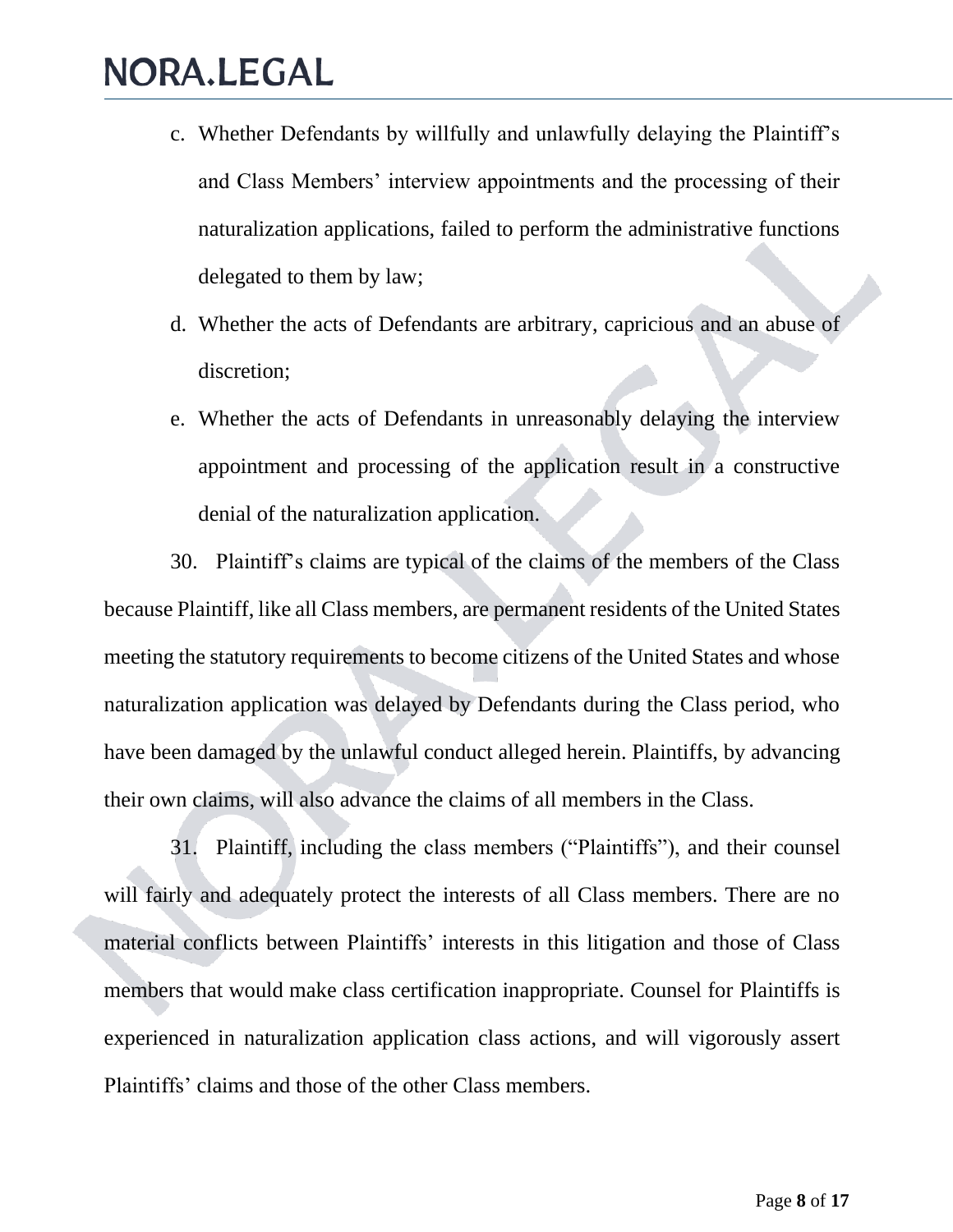- c. Whether Defendants by willfully and unlawfully delaying the Plaintiff's and Class Members' interview appointments and the processing of their naturalization applications, failed to perform the administrative functions delegated to them by law;
- d. Whether the acts of Defendants are arbitrary, capricious and an abuse of discretion;
- e. Whether the acts of Defendants in unreasonably delaying the interview appointment and processing of the application result in a constructive denial of the naturalization application.

30. Plaintiff's claims are typical of the claims of the members of the Class because Plaintiff, like all Class members, are permanent residents of the United States meeting the statutory requirements to become citizens of the United States and whose naturalization application was delayed by Defendants during the Class period, who have been damaged by the unlawful conduct alleged herein. Plaintiffs, by advancing their own claims, will also advance the claims of all members in the Class.

31. Plaintiff, including the class members ("Plaintiffs"), and their counsel will fairly and adequately protect the interests of all Class members. There are no material conflicts between Plaintiffs' interests in this litigation and those of Class members that would make class certification inappropriate. Counsel for Plaintiffs is experienced in naturalization application class actions, and will vigorously assert Plaintiffs' claims and those of the other Class members.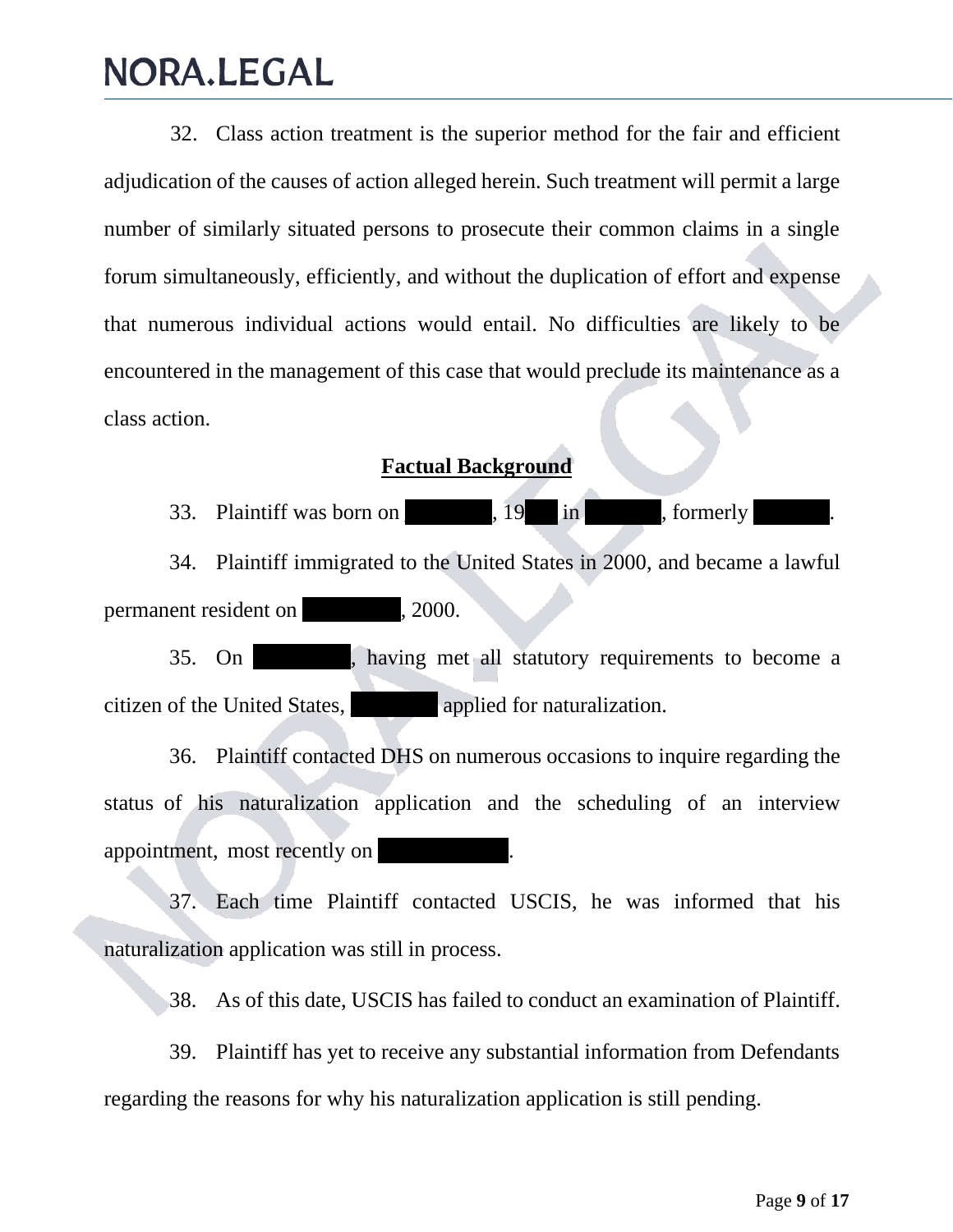32. Class action treatment is the superior method for the fair and efficient adjudication of the causes of action alleged herein. Such treatment will permit a large number of similarly situated persons to prosecute their common claims in a single forum simultaneously, efficiently, and without the duplication of effort and expense that numerous individual actions would entail. No difficulties are likely to be encountered in the management of this case that would preclude its maintenance as a class action.

#### **Factual Background**

33. Plaintiff was born on  $\qquad \qquad$ , 19 in  $\qquad \qquad$ , formerly

34. Plaintiff immigrated to the United States in 2000, and became a lawful permanent resident on  $\qquad \qquad .2000.$ 

35. On \_\_\_\_\_\_\_\_\_, having met all statutory requirements to become a citizen of the United States, \_\_\_\_\_\_\_\_ applied for naturalization.

36. Plaintiff contacted DHS on numerous occasions to inquire regarding the status of his naturalization application and the scheduling of an interview appointment, most recently on

37. Each time Plaintiff contacted USCIS, he was informed that his naturalization application was still in process.

38. As of this date, USCIS has failed to conduct an examination of Plaintiff.

39. Plaintiff has yet to receive any substantial information from Defendants regarding the reasons for why his naturalization application is still pending.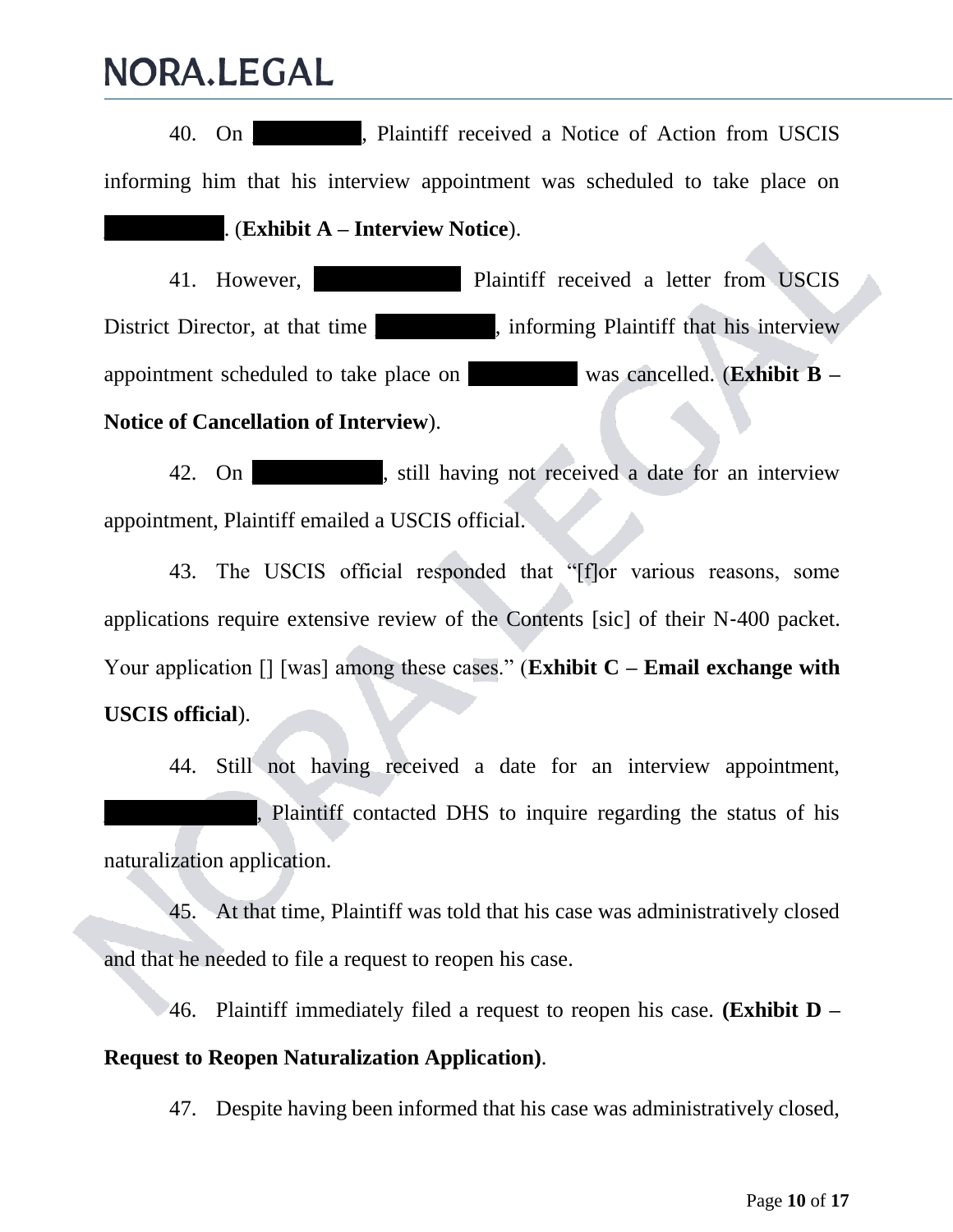40. On **No. 2.1.** Plaintiff received a Notice of Action from USCIS informing him that his interview appointment was scheduled to take place on \_\_\_\_\_\_\_\_\_\_\_. (**Exhibit A – Interview Notice**).

41. However, **Plaintiff received a letter from USCIS** District Director, at that time **Later and the set of the plaintiff that his interview** appointment scheduled to take place on \_\_\_\_\_\_\_\_\_\_ was cancelled. (**Exhibit B – Notice of Cancellation of Interview**).

42. On still having not received a date for an interview appointment, Plaintiff emailed a USCIS official.

43. The USCIS official responded that "[f]or various reasons, some applications require extensive review of the Contents [sic] of their N‐400 packet. Your application [] [was] among these cases." (**Exhibit C – Email exchange with USCIS official**).

44. Still not having received a date for an interview appointment, \_\_\_\_\_\_\_\_\_\_\_\_\_\_, Plaintiff contacted DHS to inquire regarding the status of his naturalization application.

45. At that time, Plaintiff was told that his case was administratively closed and that he needed to file a request to reopen his case.

46. Plaintiff immediately filed a request to reopen his case. **(Exhibit D – Request to Reopen Naturalization Application)**.

47. Despite having been informed that his case was administratively closed,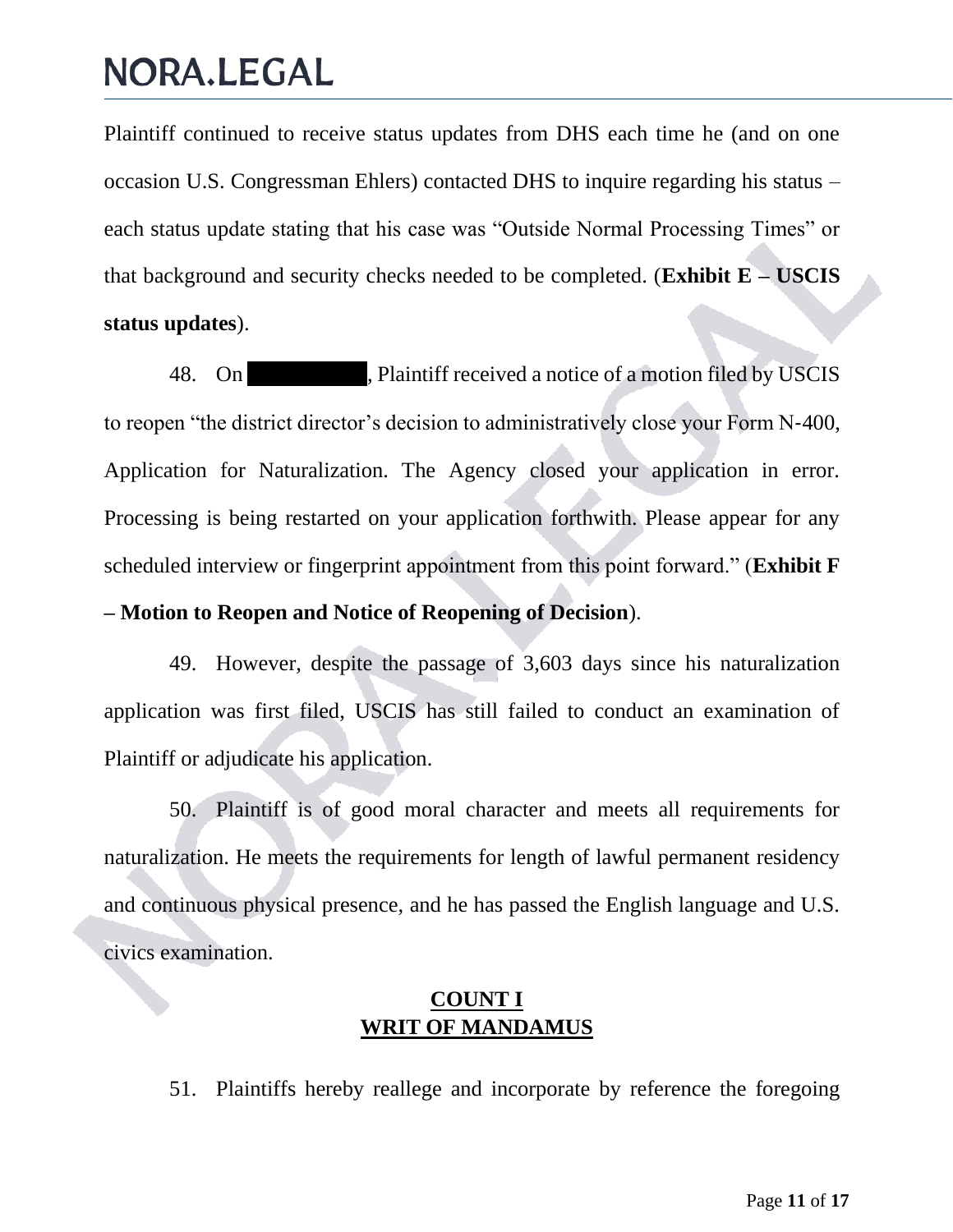Plaintiff continued to receive status updates from DHS each time he (and on one occasion U.S. Congressman Ehlers) contacted DHS to inquire regarding his status – each status update stating that his case was "Outside Normal Processing Times" or that background and security checks needed to be completed. (**Exhibit E – USCIS status updates**).

48. On **Number 1**, Plaintiff received a notice of a motion filed by USCIS to reopen "the district director's decision to administratively close your Form N‐400, Application for Naturalization. The Agency closed your application in error. Processing is being restarted on your application forthwith. Please appear for any scheduled interview or fingerprint appointment from this point forward." (**Exhibit F – Motion to Reopen and Notice of Reopening of Decision**).

49. However, despite the passage of 3,603 days since his naturalization application was first filed, USCIS has still failed to conduct an examination of Plaintiff or adjudicate his application.

50. Plaintiff is of good moral character and meets all requirements for naturalization. He meets the requirements for length of lawful permanent residency and continuous physical presence, and he has passed the English language and U.S. civics examination.

### **COUNT I WRIT OF MANDAMUS**

51. Plaintiffs hereby reallege and incorporate by reference the foregoing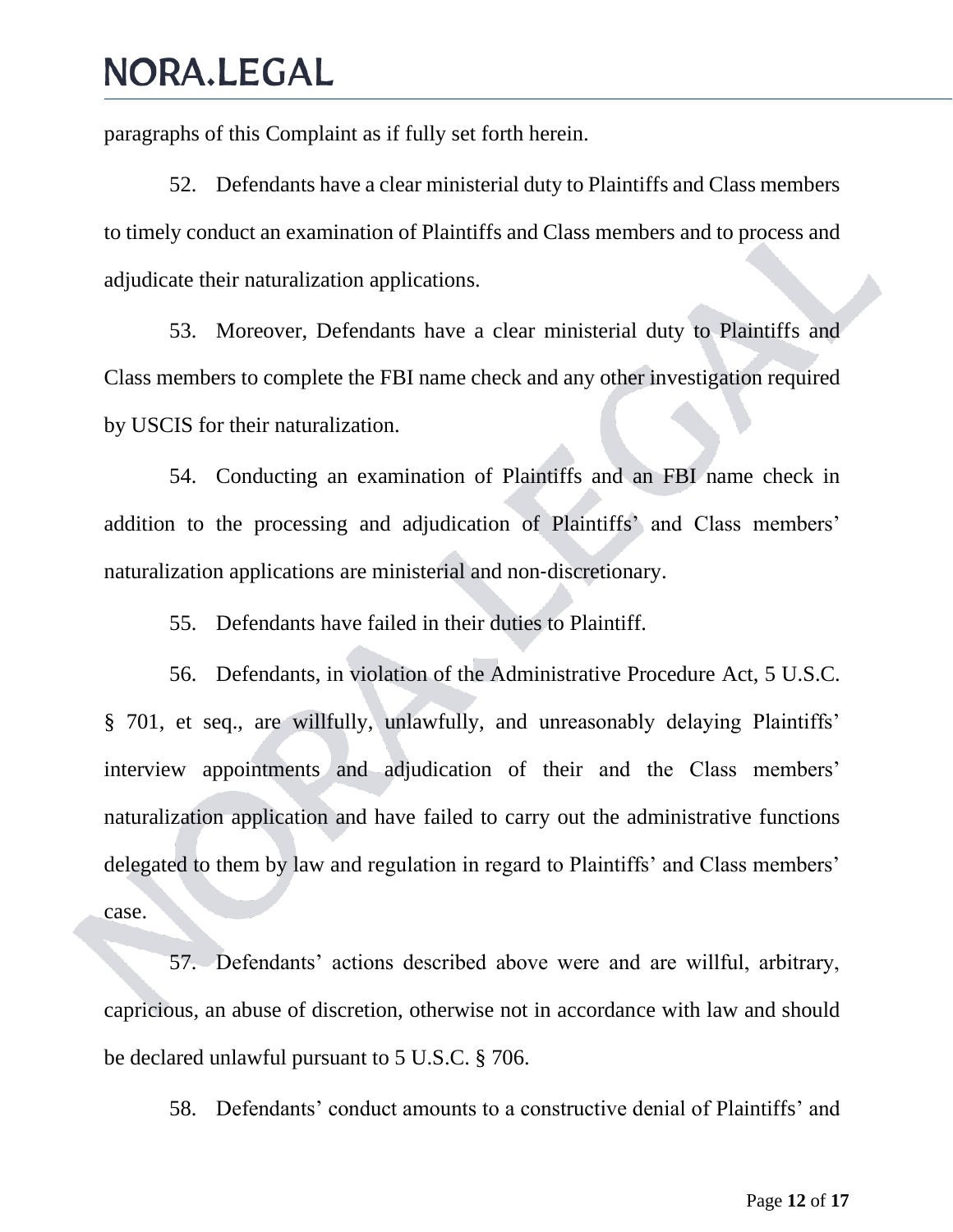paragraphs of this Complaint as if fully set forth herein.

52. Defendants have a clear ministerial duty to Plaintiffs and Class members to timely conduct an examination of Plaintiffs and Class members and to process and adjudicate their naturalization applications.

53. Moreover, Defendants have a clear ministerial duty to Plaintiffs and Class members to complete the FBI name check and any other investigation required by USCIS for their naturalization.

54. Conducting an examination of Plaintiffs and an FBI name check in addition to the processing and adjudication of Plaintiffs' and Class members' naturalization applications are ministerial and non‐discretionary.

55. Defendants have failed in their duties to Plaintiff.

56. Defendants, in violation of the Administrative Procedure Act, 5 U.S.C. § 701, et seq., are willfully, unlawfully, and unreasonably delaying Plaintiffs' interview appointments and adjudication of their and the Class members' naturalization application and have failed to carry out the administrative functions delegated to them by law and regulation in regard to Plaintiffs' and Class members' case.

57. Defendants' actions described above were and are willful, arbitrary, capricious, an abuse of discretion, otherwise not in accordance with law and should be declared unlawful pursuant to 5 U.S.C. § 706.

58. Defendants' conduct amounts to a constructive denial of Plaintiffs' and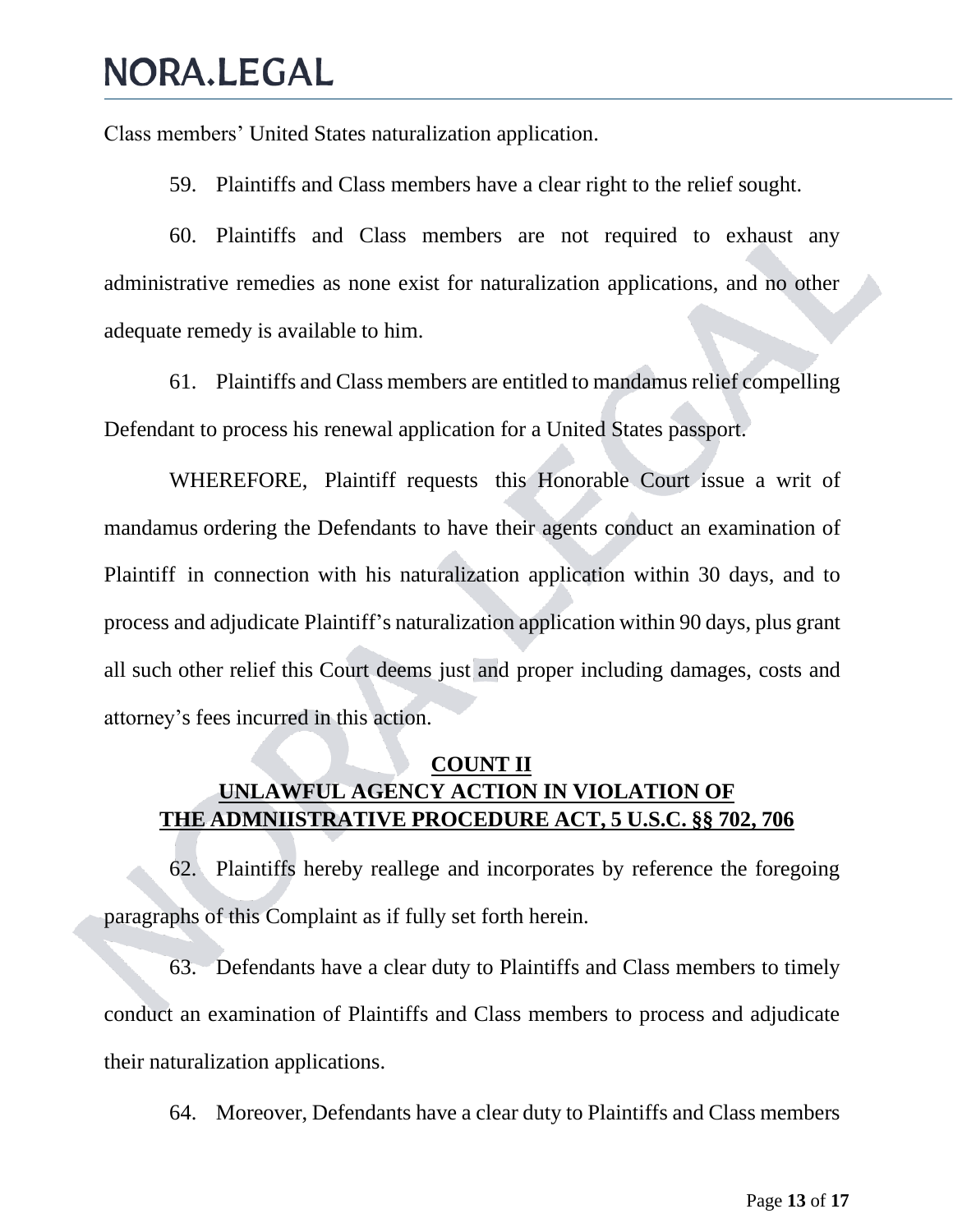Class members' United States naturalization application.

59. Plaintiffs and Class members have a clear right to the relief sought.

60. Plaintiffs and Class members are not required to exhaust any administrative remedies as none exist for naturalization applications, and no other adequate remedy is available to him.

61. Plaintiffs and Class members are entitled to mandamus relief compelling Defendant to process his renewal application for a United States passport.

WHEREFORE, Plaintiff requests this Honorable Court issue a writ of mandamus ordering the Defendants to have their agents conduct an examination of Plaintiff in connection with his naturalization application within 30 days, and to process and adjudicate Plaintiff's naturalization application within 90 days, plus grant all such other relief this Court deems just and proper including damages, costs and attorney's fees incurred in this action.

#### **COUNT II UNLAWFUL AGENCY ACTION IN VIOLATION OF THE ADMNIISTRATIVE PROCEDURE ACT, 5 U.S.C. §§ 702, 706**

62. Plaintiffs hereby reallege and incorporates by reference the foregoing paragraphs of this Complaint as if fully set forth herein.

63. Defendants have a clear duty to Plaintiffs and Class members to timely conduct an examination of Plaintiffs and Class members to process and adjudicate their naturalization applications.

64. Moreover, Defendants have a clear duty to Plaintiffs and Class members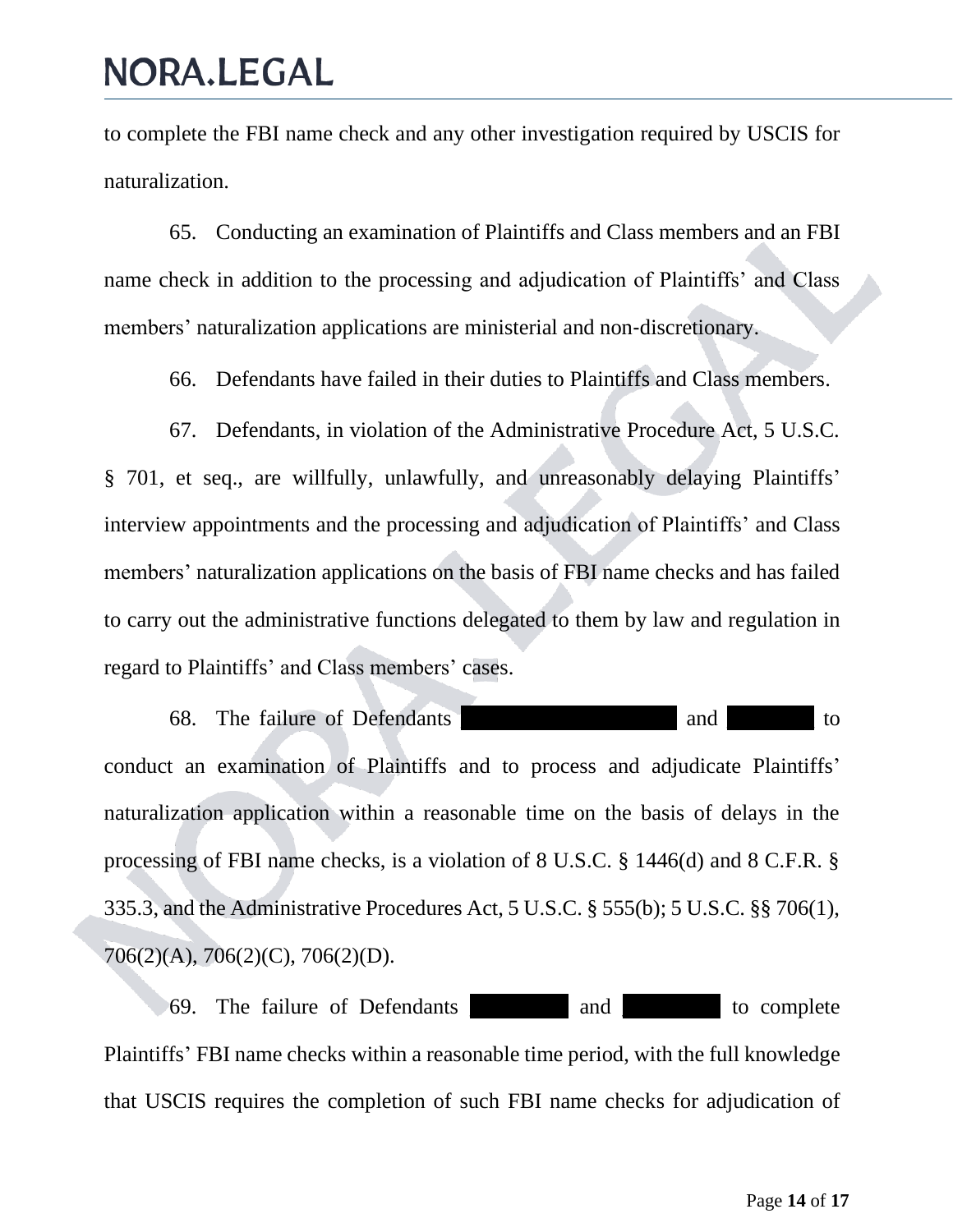to complete the FBI name check and any other investigation required by USCIS for naturalization.

65. Conducting an examination of Plaintiffs and Class members and an FBI name check in addition to the processing and adjudication of Plaintiffs' and Class members' naturalization applications are ministerial and non-discretionary.

66. Defendants have failed in their duties to Plaintiffs and Class members.

67. Defendants, in violation of the Administrative Procedure Act, 5 U.S.C. § 701, et seq., are willfully, unlawfully, and unreasonably delaying Plaintiffs' interview appointments and the processing and adjudication of Plaintiffs' and Class members' naturalization applications on the basis of FBI name checks and has failed to carry out the administrative functions delegated to them by law and regulation in regard to Plaintiffs' and Class members' cases.

68. The failure of Defendants **and** to conduct an examination of Plaintiffs and to process and adjudicate Plaintiffs' naturalization application within a reasonable time on the basis of delays in the processing of FBI name checks, is a violation of 8 U.S.C. § 1446(d) and 8 C.F.R. § 335.3, and the Administrative Procedures Act, 5 U.S.C. § 555(b); 5 U.S.C. §§ 706(1), 706(2)(A), 706(2)(C), 706(2)(D).

69. The failure of Defendants \_\_\_\_\_\_\_\_\_ and \_\_\_\_\_\_\_\_\_ to complete Plaintiffs' FBI name checks within a reasonable time period, with the full knowledge that USCIS requires the completion of such FBI name checks for adjudication of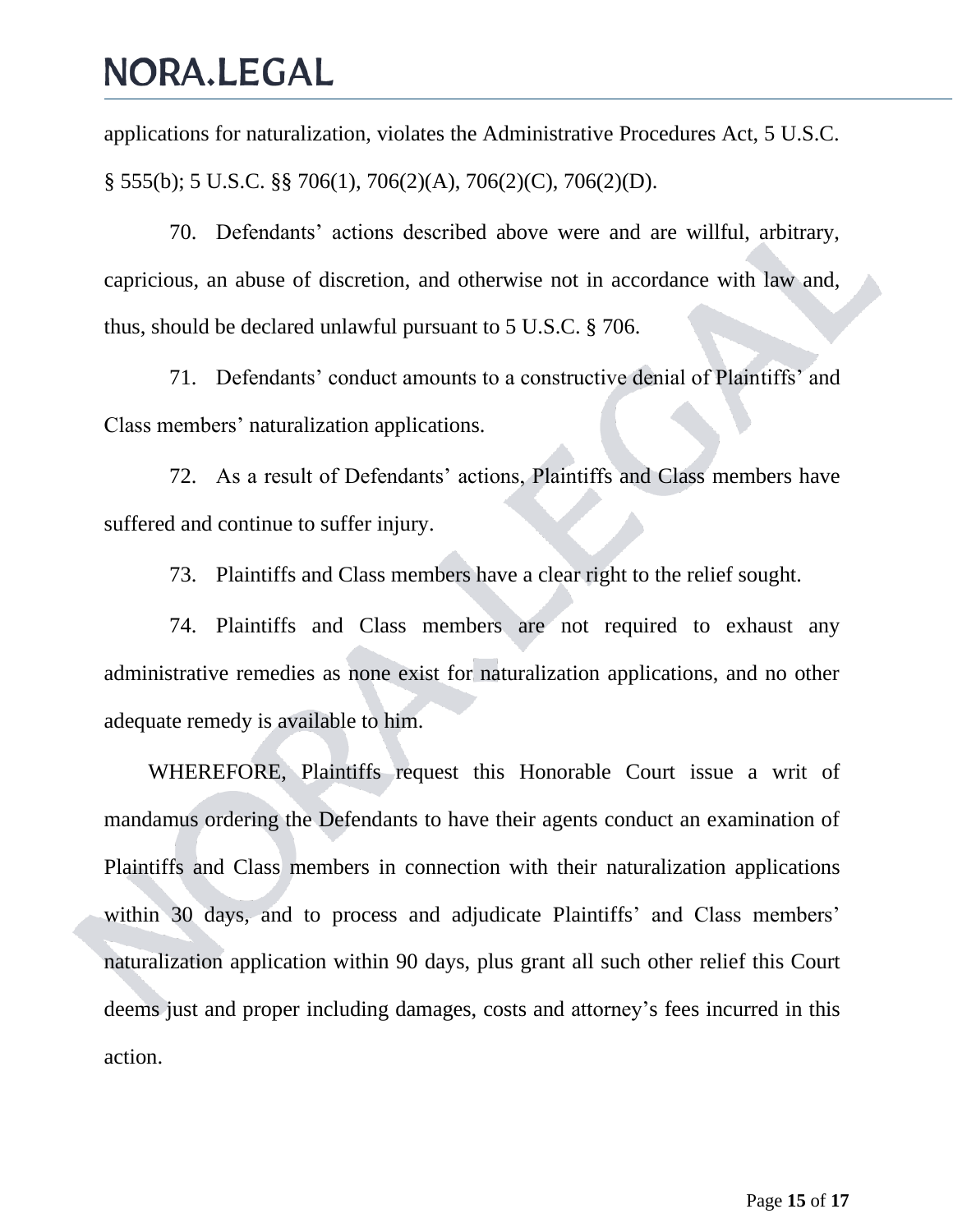applications for naturalization, violates the Administrative Procedures Act, 5 U.S.C. § 555(b); 5 U.S.C. §§ 706(1), 706(2)(A), 706(2)(C), 706(2)(D).

70. Defendants' actions described above were and are willful, arbitrary, capricious, an abuse of discretion, and otherwise not in accordance with law and, thus, should be declared unlawful pursuant to 5 U.S.C. § 706.

71. Defendants' conduct amounts to a constructive denial of Plaintiffs' and Class members' naturalization applications.

72. As a result of Defendants' actions, Plaintiffs and Class members have suffered and continue to suffer injury.

73. Plaintiffs and Class members have a clear right to the relief sought.

74. Plaintiffs and Class members are not required to exhaust any administrative remedies as none exist for naturalization applications, and no other adequate remedy is available to him.

WHEREFORE, Plaintiffs request this Honorable Court issue a writ of mandamus ordering the Defendants to have their agents conduct an examination of Plaintiffs and Class members in connection with their naturalization applications within 30 days, and to process and adjudicate Plaintiffs' and Class members' naturalization application within 90 days, plus grant all such other relief this Court deems just and proper including damages, costs and attorney's fees incurred in this action.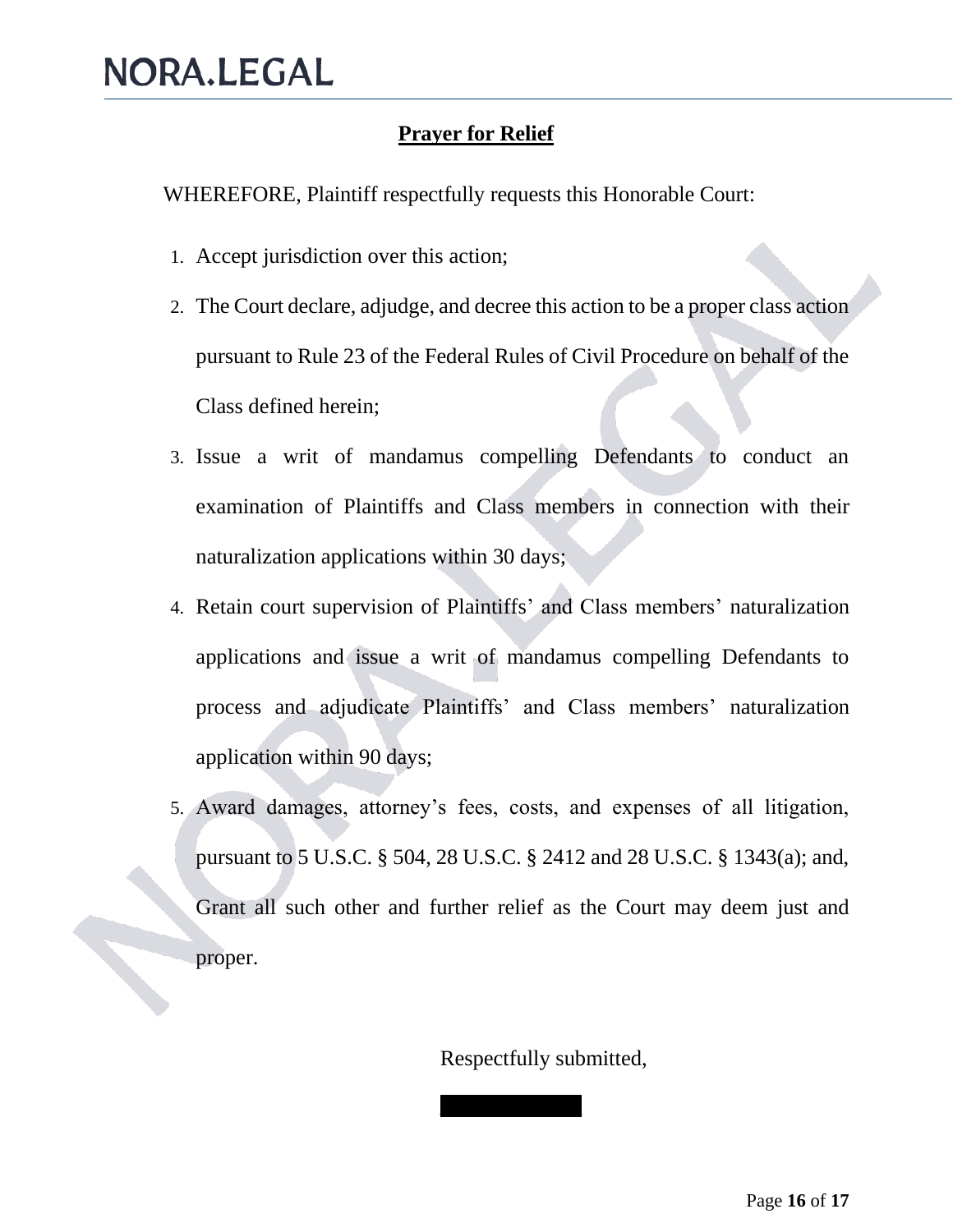### **Prayer for Relief**

WHEREFORE, Plaintiff respectfully requests this Honorable Court:

- 1. Accept jurisdiction over this action;
- 2. The Court declare, adjudge, and decree this action to be a proper class action pursuant to Rule 23 of the Federal Rules of Civil Procedure on behalf of the Class defined herein;
- 3. Issue a writ of mandamus compelling Defendants to conduct an examination of Plaintiffs and Class members in connection with their naturalization applications within 30 days;
- 4. Retain court supervision of Plaintiffs' and Class members' naturalization applications and issue a writ of mandamus compelling Defendants to process and adjudicate Plaintiffs' and Class members' naturalization application within 90 days;
- 5. Award damages, attorney's fees, costs, and expenses of all litigation, pursuant to 5 U.S.C. § 504, 28 U.S.C. § 2412 and 28 U.S.C. § 1343(a); and, Grant all such other and further relief as the Court may deem just and proper.

Respectfully submitted,